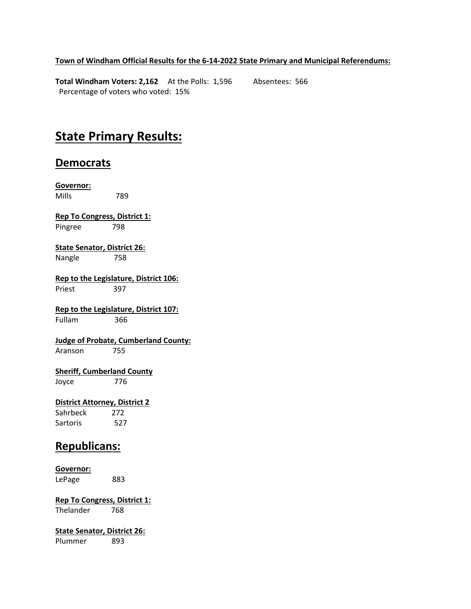## **Town of Windham Official Results for the 6-14-2022 State Primary and Municipal Referendums:**

**Total Windham Voters: 2,162** At the Polls: 1,596 Absentees: 566 Percentage of voters who voted: 15%

# **State Primary Results:**

# **Democrats**

**Governor:** Mills 789 **Rep To Congress, District 1:** Pingree 798 **State Senator, District 26:** Nangle 758 **Rep to the Legislature, District 106:** Priest 397 **Rep to the Legislature, District 107:** Fullam 366 **Judge of Probate, Cumberland County:** Aranson 755 **Sheriff, Cumberland County** Joyce 776 **District Attorney, District 2** Sahrbeck 272 Sartoris 527 **Republicans: Governor:** LePage 883

**Rep To Congress, District 1:** Thelander 768

**State Senator, District 26:** Plummer 893